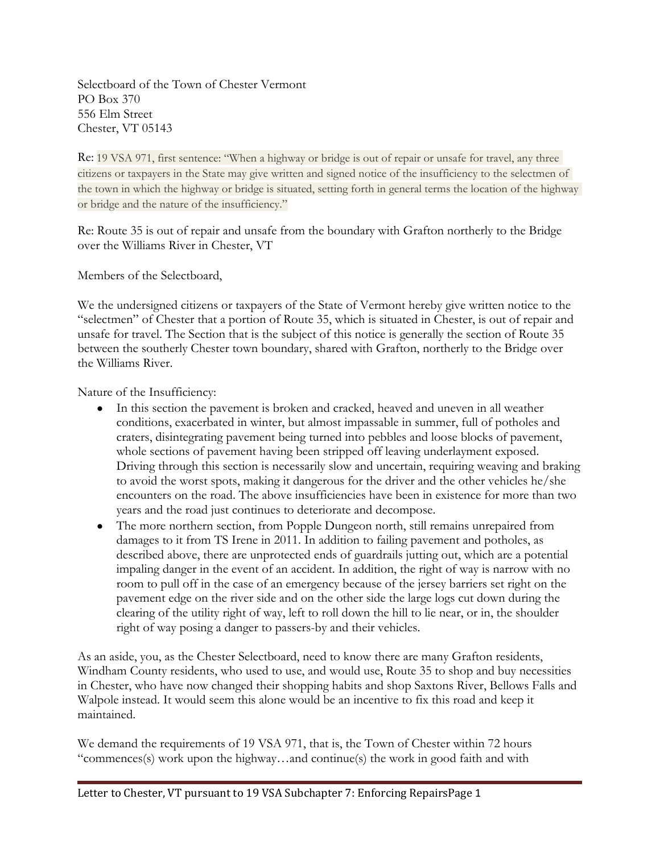Selectboard of the Town of Chester Vermont PO Box 370 556 Elm Street Chester, VT 05143

Re: 19 VSA 971, first sentence: "When a highway or bridge is out of repair or unsafe for travel, any three citizens or taxpayers in the State may give written and signed notice of the insufficiency to the selectmen of the town in which the highway or bridge is situated, setting forth in general terms the location of the highway or bridge and the nature of the insufficiency."

Re: Route 35 is out of repair and unsafe from the boundary with Grafton northerly to the Bridge over the Williams River in Chester, VT

Members of the Selectboard,

We the undersigned citizens or taxpayers of the State of Vermont hereby give written notice to the "selectmen" of Chester that a portion of Route 35, which is situated in Chester, is out of repair and unsafe for travel. The Section that is the subject of this notice is generally the section of Route 35 between the southerly Chester town boundary, shared with Grafton, northerly to the Bridge over the Williams River.

Nature of the Insufficiency:

- In this section the pavement is broken and cracked, heaved and uneven in all weather conditions, exacerbated in winter, but almost impassable in summer, full of potholes and craters, disintegrating pavement being turned into pebbles and loose blocks of pavement, whole sections of pavement having been stripped off leaving underlayment exposed. Driving through this section is necessarily slow and uncertain, requiring weaving and braking to avoid the worst spots, making it dangerous for the driver and the other vehicles he/she encounters on the road. The above insufficiencies have been in existence for more than two years and the road just continues to deteriorate and decompose.
- The more northern section, from Popple Dungeon north, still remains unrepaired from damages to it from TS Irene in 2011. In addition to failing pavement and potholes, as described above, there are unprotected ends of guardrails jutting out, which are a potential impaling danger in the event of an accident. In addition, the right of way is narrow with no room to pull off in the case of an emergency because of the jersey barriers set right on the pavement edge on the river side and on the other side the large logs cut down during the clearing of the utility right of way, left to roll down the hill to lie near, or in, the shoulder right of way posing a danger to passers-by and their vehicles.

As an aside, you, as the Chester Selectboard, need to know there are many Grafton residents, Windham County residents, who used to use, and would use, Route 35 to shop and buy necessities in Chester, who have now changed their shopping habits and shop Saxtons River, Bellows Falls and Walpole instead. It would seem this alone would be an incentive to fix this road and keep it maintained.

We demand the requirements of 19 VSA 971, that is, the Town of Chester within 72 hours "commences(s) work upon the highway…and continue(s) the work in good faith and with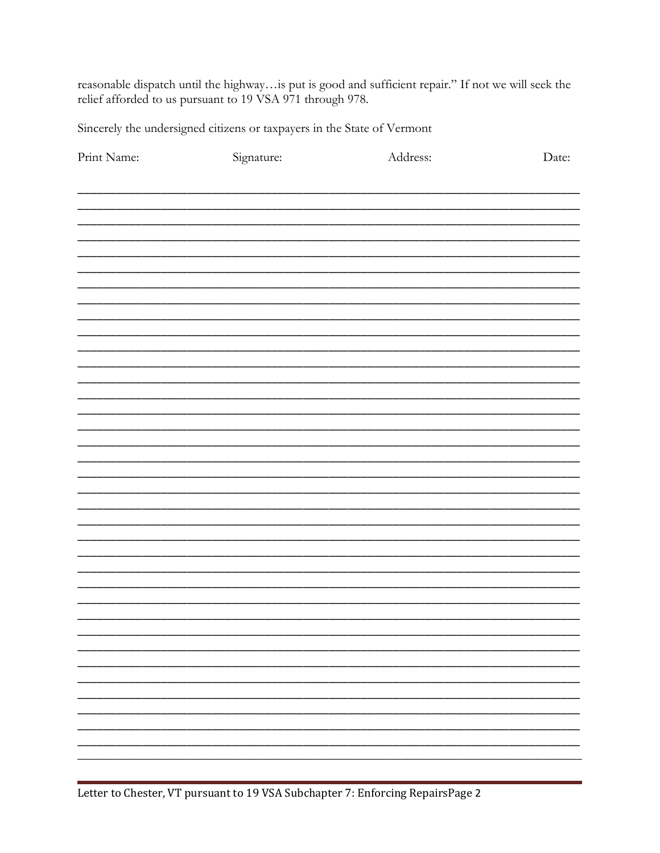reasonable dispatch until the highway...is put is good and sufficient repair." If not we will seek the relief afforded to us pursuant to 19 VSA 971 through 978.

Sincerely the undersigned citizens or taxpayers in the State of Vermont

| Print Name: | Signature: | Address: | Date: |
|-------------|------------|----------|-------|
|             |            |          |       |
|             |            |          |       |
|             |            |          |       |
|             |            |          |       |
|             |            |          |       |
|             |            |          |       |
|             |            |          |       |
|             |            |          |       |
|             |            |          |       |
|             |            |          |       |
|             |            |          |       |
|             |            |          |       |
|             |            |          |       |
|             |            |          |       |
|             |            |          |       |
|             |            |          |       |
|             |            |          |       |
|             |            |          |       |
|             |            |          |       |
|             |            |          |       |
|             |            |          |       |
|             |            |          |       |
|             |            |          |       |
|             |            |          |       |
|             |            |          |       |
|             |            |          |       |
|             |            |          |       |
|             |            |          |       |
|             |            |          |       |
|             |            |          |       |
|             |            |          |       |
|             |            |          |       |